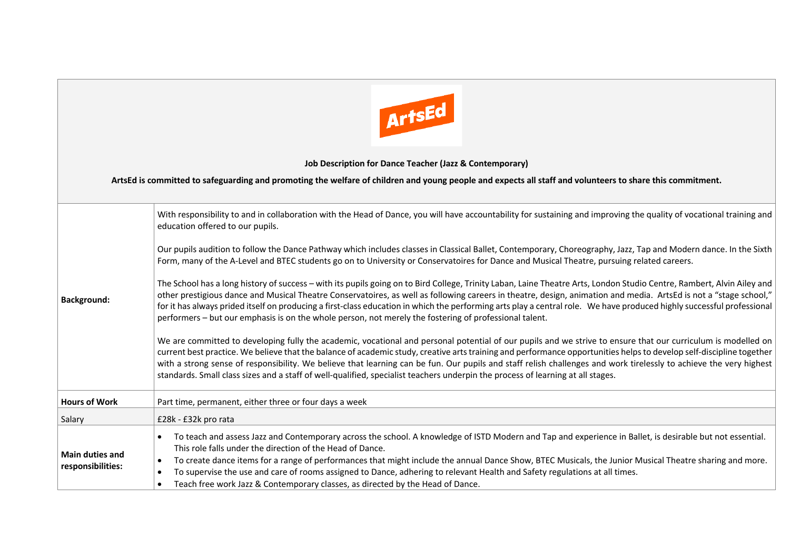

## **Job Description for Dance Teacher (Jazz & Contemporary)**

## **ArtsEd is committed to safeguarding and promoting the welfare of children and young people and expects all staff and volunteers to share this commitment.**

| <b>Background:</b>                          | With responsibility to and in collaboration with the Head of Dance, you will have accountability for sustaining and improving the quality of vocational training and<br>education offered to our pupils.                                                                                                                                                                                                                                                                                                                                                                                                                                       |  |
|---------------------------------------------|------------------------------------------------------------------------------------------------------------------------------------------------------------------------------------------------------------------------------------------------------------------------------------------------------------------------------------------------------------------------------------------------------------------------------------------------------------------------------------------------------------------------------------------------------------------------------------------------------------------------------------------------|--|
|                                             | Our pupils audition to follow the Dance Pathway which includes classes in Classical Ballet, Contemporary, Choreography, Jazz, Tap and Modern dance. In the Sixth<br>Form, many of the A-Level and BTEC students go on to University or Conservatoires for Dance and Musical Theatre, pursuing related careers.                                                                                                                                                                                                                                                                                                                                 |  |
|                                             | The School has a long history of success - with its pupils going on to Bird College, Trinity Laban, Laine Theatre Arts, London Studio Centre, Rambert, Alvin Ailey and<br>other prestigious dance and Musical Theatre Conservatoires, as well as following careers in theatre, design, animation and media. ArtsEd is not a "stage school,"<br>for it has always prided itself on producing a first-class education in which the performing arts play a central role. We have produced highly successful professional<br>performers – but our emphasis is on the whole person, not merely the fostering of professional talent.                |  |
|                                             | We are committed to developing fully the academic, vocational and personal potential of our pupils and we strive to ensure that our curriculum is modelled on<br>current best practice. We believe that the balance of academic study, creative arts training and performance opportunities helps to develop self-discipline together<br>with a strong sense of responsibility. We believe that learning can be fun. Our pupils and staff relish challenges and work tirelessly to achieve the very highest<br>standards. Small class sizes and a staff of well-qualified, specialist teachers underpin the process of learning at all stages. |  |
| <b>Hours of Work</b>                        | Part time, permanent, either three or four days a week                                                                                                                                                                                                                                                                                                                                                                                                                                                                                                                                                                                         |  |
| Salary                                      | £28k - £32k pro rata                                                                                                                                                                                                                                                                                                                                                                                                                                                                                                                                                                                                                           |  |
| <b>Main duties and</b><br>responsibilities: | To teach and assess Jazz and Contemporary across the school. A knowledge of ISTD Modern and Tap and experience in Ballet, is desirable but not essential.<br>$\bullet$<br>This role falls under the direction of the Head of Dance.<br>To create dance items for a range of performances that might include the annual Dance Show, BTEC Musicals, the Junior Musical Theatre sharing and more.<br>$\bullet$<br>To supervise the use and care of rooms assigned to Dance, adhering to relevant Health and Safety regulations at all times.<br>$\bullet$<br>Teach free work Jazz & Contemporary classes, as directed by the Head of Dance.       |  |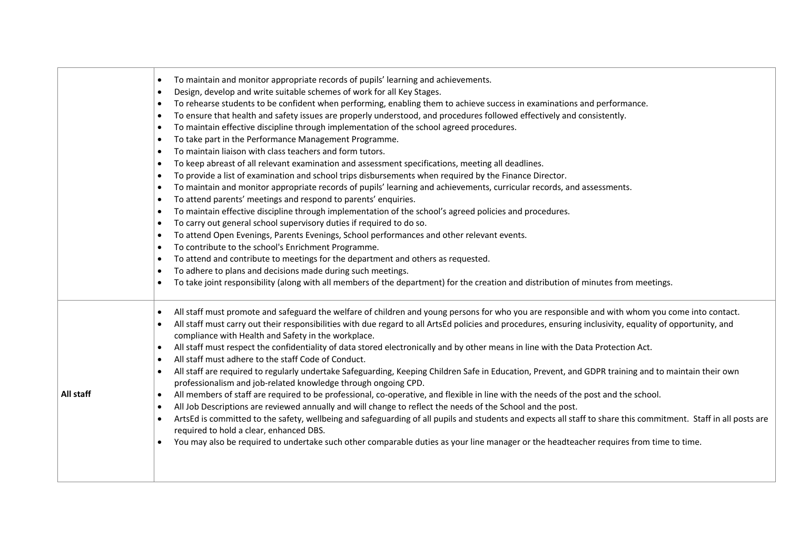|           | To maintain and monitor appropriate records of pupils' learning and achievements.<br>$\bullet$<br>Design, develop and write suitable schemes of work for all Key Stages.<br>$\bullet$<br>To rehearse students to be confident when performing, enabling them to achieve success in examinations and performance.<br>$\bullet$<br>To ensure that health and safety issues are properly understood, and procedures followed effectively and consistently.<br>$\bullet$<br>To maintain effective discipline through implementation of the school agreed procedures.<br>$\bullet$<br>To take part in the Performance Management Programme.<br>$\bullet$<br>To maintain liaison with class teachers and form tutors.<br>$\bullet$<br>To keep abreast of all relevant examination and assessment specifications, meeting all deadlines.<br>٠<br>To provide a list of examination and school trips disbursements when required by the Finance Director.<br>$\bullet$<br>To maintain and monitor appropriate records of pupils' learning and achievements, curricular records, and assessments.<br>$\bullet$<br>To attend parents' meetings and respond to parents' enquiries.<br>$\bullet$<br>To maintain effective discipline through implementation of the school's agreed policies and procedures.<br>$\bullet$<br>To carry out general school supervisory duties if required to do so.<br>$\bullet$<br>To attend Open Evenings, Parents Evenings, School performances and other relevant events.<br>٠<br>To contribute to the school's Enrichment Programme.<br>$\bullet$<br>To attend and contribute to meetings for the department and others as requested.<br>$\bullet$<br>To adhere to plans and decisions made during such meetings.<br>$\bullet$<br>To take joint responsibility (along with all members of the department) for the creation and distribution of minutes from meetings.<br>$\bullet$ |
|-----------|---------------------------------------------------------------------------------------------------------------------------------------------------------------------------------------------------------------------------------------------------------------------------------------------------------------------------------------------------------------------------------------------------------------------------------------------------------------------------------------------------------------------------------------------------------------------------------------------------------------------------------------------------------------------------------------------------------------------------------------------------------------------------------------------------------------------------------------------------------------------------------------------------------------------------------------------------------------------------------------------------------------------------------------------------------------------------------------------------------------------------------------------------------------------------------------------------------------------------------------------------------------------------------------------------------------------------------------------------------------------------------------------------------------------------------------------------------------------------------------------------------------------------------------------------------------------------------------------------------------------------------------------------------------------------------------------------------------------------------------------------------------------------------------------------------------------------------------------------------------------------------------------------------|
| All staff | All staff must promote and safeguard the welfare of children and young persons for who you are responsible and with whom you come into contact.<br>$\bullet$<br>All staff must carry out their responsibilities with due regard to all ArtsEd policies and procedures, ensuring inclusivity, equality of opportunity, and<br>$\bullet$<br>compliance with Health and Safety in the workplace.<br>All staff must respect the confidentiality of data stored electronically and by other means in line with the Data Protection Act.<br>$\bullet$<br>All staff must adhere to the staff Code of Conduct.<br>$\bullet$<br>All staff are required to regularly undertake Safeguarding, Keeping Children Safe in Education, Prevent, and GDPR training and to maintain their own<br>$\bullet$<br>professionalism and job-related knowledge through ongoing CPD.<br>All members of staff are required to be professional, co-operative, and flexible in line with the needs of the post and the school.<br>$\bullet$<br>All Job Descriptions are reviewed annually and will change to reflect the needs of the School and the post.<br>$\bullet$<br>ArtsEd is committed to the safety, wellbeing and safeguarding of all pupils and students and expects all staff to share this commitment. Staff in all posts are<br>$\bullet$<br>required to hold a clear, enhanced DBS.<br>You may also be required to undertake such other comparable duties as your line manager or the headteacher requires from time to time.                                                                                                                                                                                                                                                                                                                                                                                         |